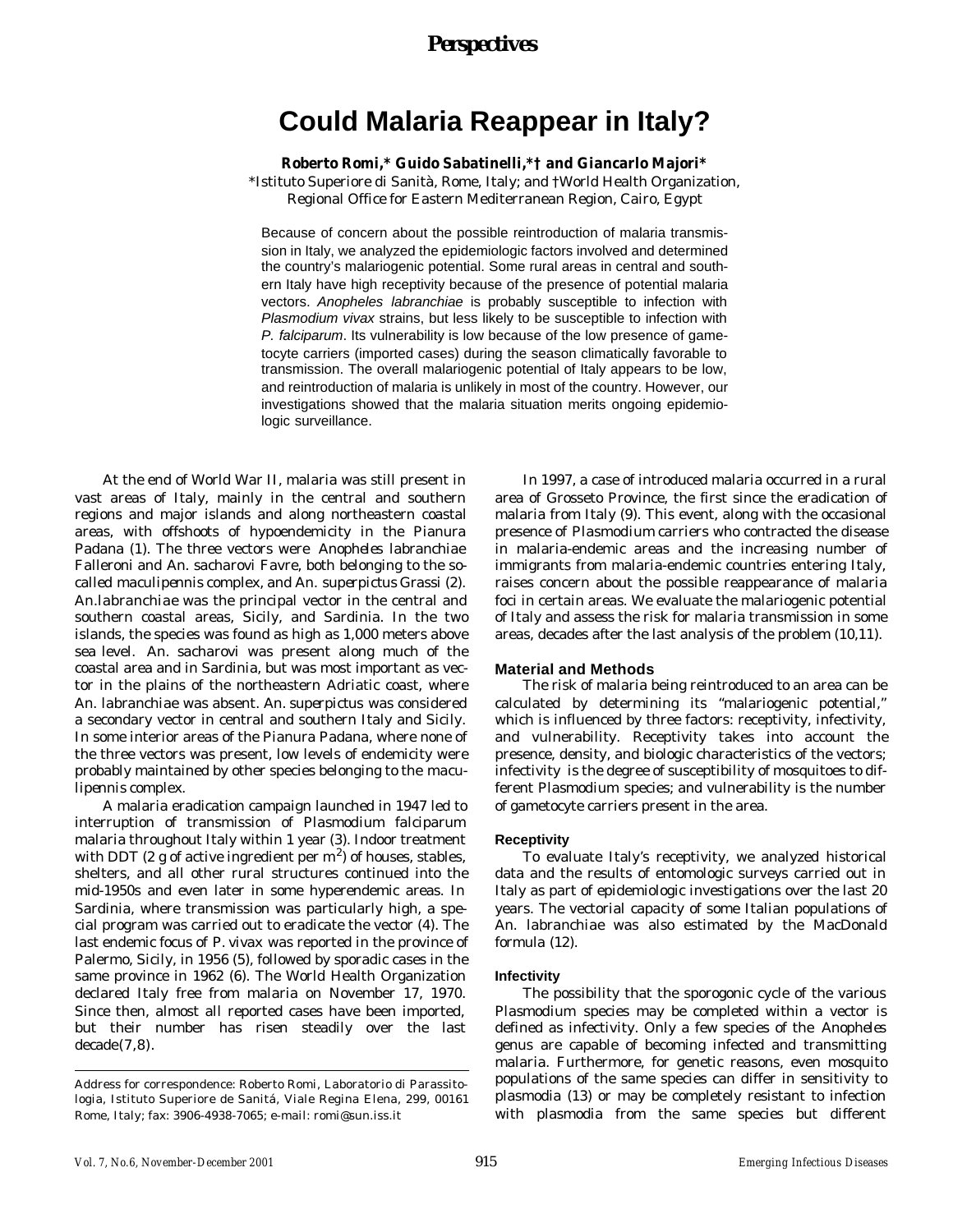# *Perspectives*

# **Could Malaria Reappear in Italy?**

**Roberto Romi,\* Guido Sabatinelli,\*† and Giancarlo Majori\***

\*Istituto Superiore di Sanità, Rome, Italy; and †World Health Organization, Regional Office for Eastern Mediterranean Region, Cairo, Egypt

Because of concern about the possible reintroduction of malaria transmission in Italy, we analyzed the epidemiologic factors involved and determined the country's malariogenic potential. Some rural areas in central and southern Italy have high receptivity because of the presence of potential malaria vectors. *Anopheles labranchiae* is probably susceptible to infection with *Plasmodium vivax* strains, but less likely to be susceptible to infection with *P. falciparum*. Its vulnerability is low because of the low presence of gametocyte carriers (imported cases) during the season climatically favorable to transmission. The overall malariogenic potential of Italy appears to be low, and reintroduction of malaria is unlikely in most of the country. However, our investigations showed that the malaria situation merits ongoing epidemiologic surveillance.

At the end of World War II, malaria was still present in vast areas of Italy, mainly in the central and southern regions and major islands and along northeastern coastal areas, with offshoots of hypoendemicity in the Pianura Padana (1). The three vectors were *Anopheles labranchiae* Falleroni and *An. sacharovi* Favre, both belonging to the socalled *maculipennis* complex, and *An. superpictus* Grassi (2). *An.labranchiae* was the principal vector in the central and southern coastal areas, Sicily, and Sardinia. In the two islands, the species was found as high as 1,000 meters above sea level. *An. sacharovi* was present along much of the coastal area and in Sardinia, but was most important as vector in the plains of the northeastern Adriatic coast, where *An. labranchiae* was absent. *An. superpictus* was considered a secondary vector in central and southern Italy and Sicily. In some interior areas of the Pianura Padana, where none of the three vectors was present, low levels of endemicity were probably maintained by other species belonging to the *maculipennis* complex.

A malaria eradication campaign launched in 1947 led to interruption of transmission of *Plasmodium falciparum* malaria throughout Italy within 1 year (3). Indoor treatment with DDT (2 g of active ingredient per  $m^2$ ) of houses, stables, shelters, and all other rural structures continued into the mid-1950s and even later in some hyperendemic areas. In Sardinia, where transmission was particularly high, a special program was carried out to eradicate the vector (4). The last endemic focus of *P. vivax* was reported in the province of Palermo, Sicily, in 1956 (5), followed by sporadic cases in the same province in 1962 (6). The World Health Organization declared Italy free from malaria on November 17, 1970. Since then, almost all reported cases have been imported, but their number has risen steadily over the last decade(7,8).

In 1997, a case of introduced malaria occurred in a rural area of Grosseto Province, the first since the eradication of malaria from Italy (9). This event, along with the occasional presence of *Plasmodium* carriers who contracted the disease in malaria-endemic areas and the increasing number of immigrants from malaria-endemic countries entering Italy, raises concern about the possible reappearance of malaria foci in certain areas. We evaluate the malariogenic potential of Italy and assess the risk for malaria transmission in some areas, decades after the last analysis of the problem (10,11).

#### **Material and Methods**

The risk of malaria being reintroduced to an area can be calculated by determining its "malariogenic potential," which is influenced by three factors: receptivity, infectivity, and vulnerability. Receptivity takes into account the presence, density, and biologic characteristics of the vectors; infectivity is the degree of susceptibility of mosquitoes to different *Plasmodium* species; and vulnerability is the number of gametocyte carriers present in the area.

#### **Receptivity**

To evaluate Italy's receptivity, we analyzed historical data and the results of entomologic surveys carried out in Italy as part of epidemiologic investigations over the last 20 years. The vectorial capacity of some Italian populations of *An. labranchiae* was also estimated by the MacDonald formula (12).

#### **Infectivity**

The possibility that the sporogonic cycle of the various *Plasmodium* species may be completed within a vector is defined as infectivity. Only a few species of the *Anopheles* genus are capable of becoming infected and transmitting malaria. Furthermore, for genetic reasons, even mosquito populations of the same species can differ in sensitivity to plasmodia (13) or may be completely resistant to infection with plasmodia from the same species but different

Address for correspondence: Roberto Romi, Laboratorio di Parassitologia, Istituto Superiore de Sanitá, Viale Regina Elena, 299, 00161 Rome, Italy; fax: 3906-4938-7065; e-mail: romi@sun.iss.it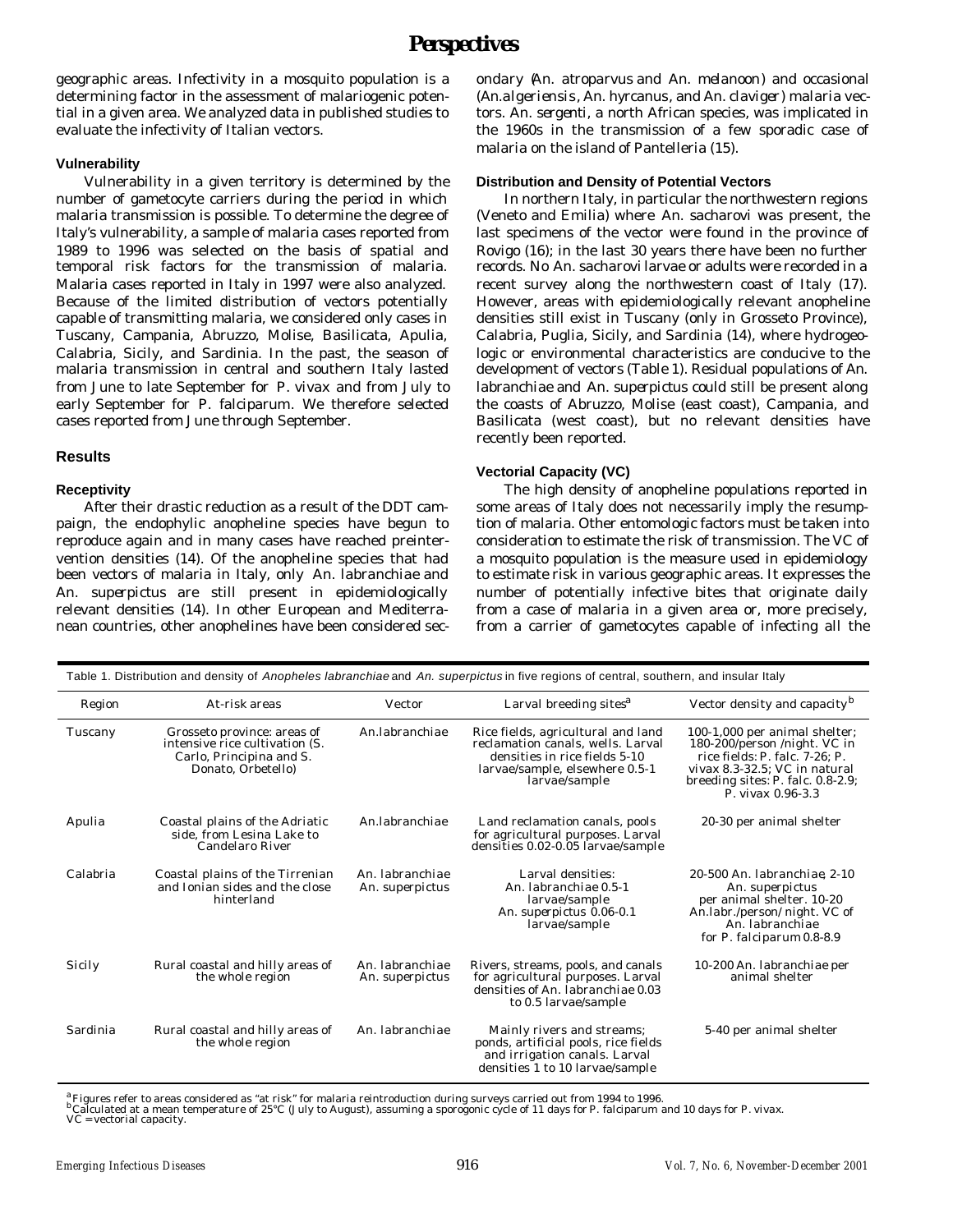# *Perspectives*

geographic areas. Infectivity in a mosquito population is a determining factor in the assessment of malariogenic potential in a given area. We analyzed data in published studies to evaluate the infectivity of Italian vectors.

#### **Vulnerability**

Vulnerability in a given territory is determined by the number of gametocyte carriers during the period in which malaria transmission is possible. To determine the degree of Italy's vulnerability, a sample of malaria cases reported from 1989 to 1996 was selected on the basis of spatial and temporal risk factors for the transmission of malaria. Malaria cases reported in Italy in 1997 were also analyzed. Because of the limited distribution of vectors potentially capable of transmitting malaria, we considered only cases in Tuscany, Campania, Abruzzo, Molise, Basilicata, Apulia, Calabria, Sicily, and Sardinia. In the past, the season of malaria transmission in central and southern Italy lasted from June to late September for *P. vivax* and from July to early September for *P. falciparum*. We therefore selected cases reported from June through September.

#### **Results**

#### **Receptivity**

After their drastic reduction as a result of the DDT campaign, the endophylic anopheline species have begun to reproduce again and in many cases have reached preintervention densities (14). Of the anopheline species that had been vectors of malaria in Italy, only *An. labranchiae* and *An. superpictus* are still present in epidemiologically relevant densities (14). In other European and Mediterranean countries, other anophelines have been considered secondary (*An. atroparvus* and *An. melanoon*) and occasional (*An.algeriensis*, *An. hyrcanus*, and *An. claviger*) malaria vectors. *An. sergenti*, a north African species, was implicated in the 1960s in the transmission of a few sporadic case of malaria on the island of Pantelleria (15).

#### **Distribution and Density of Potential Vectors**

In northern Italy, in particular the northwestern regions (Veneto and Emilia) where *An. sacharovi* was present, the last specimens of the vector were found in the province of Rovigo (16); in the last 30 years there have been no further records. No *An. sacharovi* larvae or adults were recorded in a recent survey along the northwestern coast of Italy (17). However, areas with epidemiologically relevant anopheline densities still exist in Tuscany (only in Grosseto Province), Calabria, Puglia, Sicily, and Sardinia (14), where hydrogeologic or environmental characteristics are conducive to the development of vectors (Table 1). Residual populations of *An. labranchiae* and *An. superpictus* could still be present along the coasts of Abruzzo, Molise (east coast), Campania, and Basilicata (west coast), but no relevant densities have recently been reported.

#### **Vectorial Capacity (VC)**

The high density of anopheline populations reported in some areas of Italy does not necessarily imply the resumption of malaria. Other entomologic factors must be taken into consideration to estimate the risk of transmission. The VC of a mosquito population is the measure used in epidemiology to estimate risk in various geographic areas. It expresses the number of potentially infective bites that originate daily from a case of malaria in a given area or, more precisely, from a carrier of gametocytes capable of infecting all the

| Table 1. Distribution and density of Anopheles labranchiae and An. superpictus in five regions of central, southern, and insular Italy |                                                                                                                 |                                    |                                                                                                                                                             |                                                                                                                                                                                              |  |  |  |  |
|----------------------------------------------------------------------------------------------------------------------------------------|-----------------------------------------------------------------------------------------------------------------|------------------------------------|-------------------------------------------------------------------------------------------------------------------------------------------------------------|----------------------------------------------------------------------------------------------------------------------------------------------------------------------------------------------|--|--|--|--|
| Region                                                                                                                                 | At-risk areas                                                                                                   | Vector                             | Larval breeding sites <sup>a</sup>                                                                                                                          | Vector density and capacity <sup>b</sup>                                                                                                                                                     |  |  |  |  |
| Tuscany                                                                                                                                | Grosseto province: areas of<br>intensive rice cultivation (S.<br>Carlo, Principina and S.<br>Donato, Orbetello) | An.labranchiae                     | Rice fields, agricultural and land<br>reclamation canals, wells. Larval<br>densities in rice fields 5-10<br>larvae/sample, elsewhere 0.5-1<br>larvae/sample | 100-1,000 per animal shelter;<br>180-200/person /night. VC in<br>rice fields: P. falc. 7-26: P.<br>vivax 8.3-32.5: VC in natural<br>breeding sites: $P.$ falc. 0.8-2.9;<br>P. vivax 0.96-3.3 |  |  |  |  |
| Apulia                                                                                                                                 | Coastal plains of the Adriatic<br>side, from Lesina Lake to<br>Candelaro River                                  | An Jabranchiae                     | Land reclamation canals, pools<br>for agricultural purposes. Larval<br>densities 0.02-0.05 larvae/sample                                                    | 20-30 per animal shelter                                                                                                                                                                     |  |  |  |  |
| Calabria                                                                                                                               | Coastal plains of the Tirrenian<br>and Ionian sides and the close<br>hinterland                                 | An. labranchiae<br>An. superpictus | Larval densities:<br>An. labranchiae 0.5-1<br>larvae/sample<br>An. superpictus 0.06-0.1<br>larvae/sample                                                    | 20-500 An. labranchiae, 2-10<br>An. superpictus<br>per animal shelter. 10-20<br>An.labr./person/ night. VC of<br>An. labranchiae<br>for P. falciparum 0.8-8.9                                |  |  |  |  |
| Sicily                                                                                                                                 | Rural coastal and hilly areas of<br>the whole region                                                            | An. labranchiae<br>An. superpictus | Rivers, streams, pools, and canals<br>for agricultural purposes. Larval<br>densities of An. labranchiae 0.03<br>to 0.5 larvae/sample                        | 10-200 An. labranchiae per<br>animal shelter                                                                                                                                                 |  |  |  |  |
| Sardinia                                                                                                                               | Rural coastal and hilly areas of<br>the whole region                                                            | An. labranchiae                    | Mainly rivers and streams;<br>ponds, artificial pools, rice fields<br>and irrigation canals. Larval<br>densities 1 to 10 larvae/sample                      | 5-40 per animal shelter                                                                                                                                                                      |  |  |  |  |

.<br>"Figures refer to areas considered as "at risk" for malaria reintroduction during surveys carried out from 1994 to 1996.<br>"Calculated at a mean temperature of 25°C (July to August), assuming a sporogonic cycle of 11 days VC = vectorial capacity.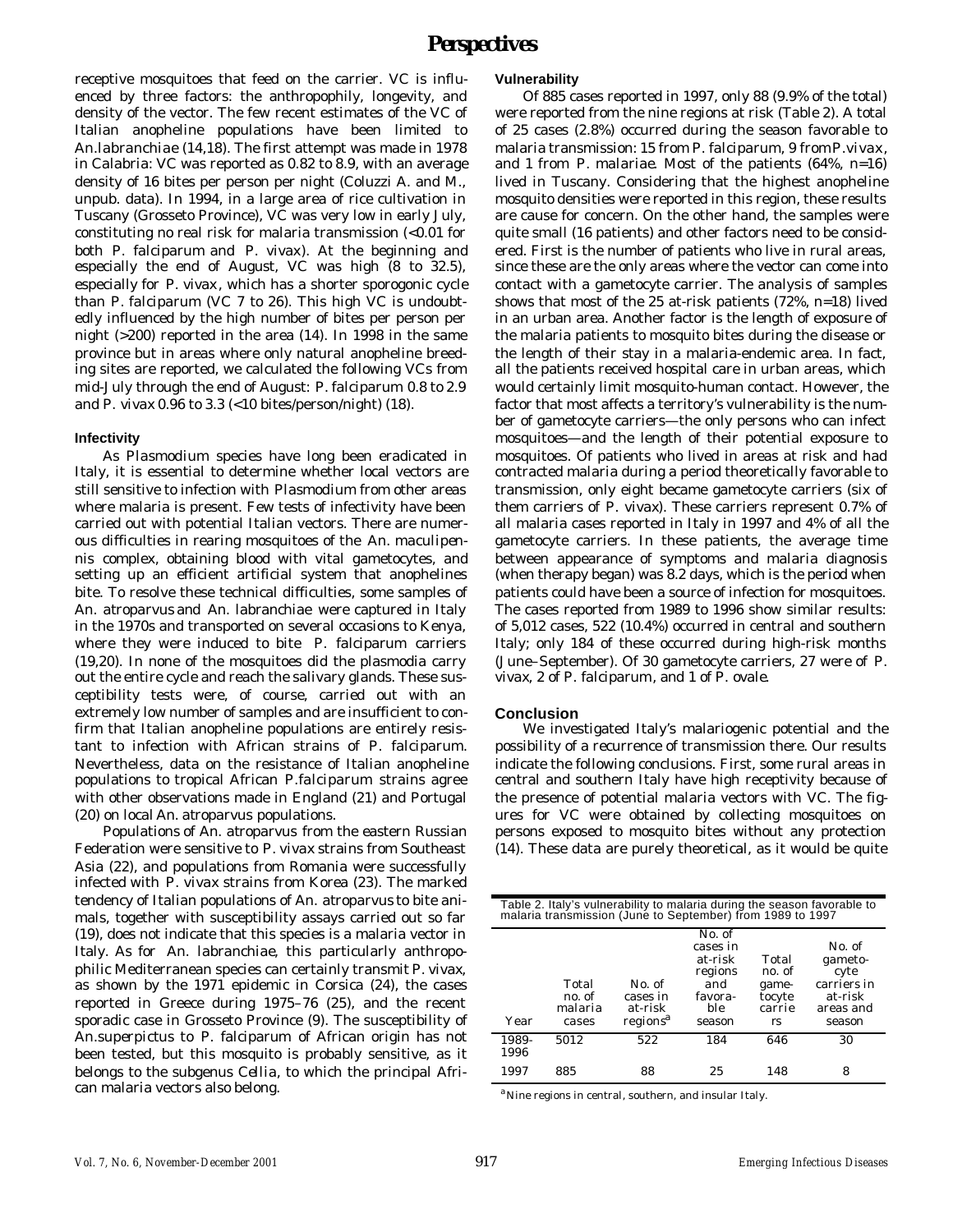receptive mosquitoes that feed on the carrier. VC is influenced by three factors: the anthropophily, longevity, and density of the vector. The few recent estimates of the VC of Italian anopheline populations have been limited to *An.labranchiae* (14,18). The first attempt was made in 1978 in Calabria: VC was reported as 0.82 to 8.9, with an average density of 16 bites per person per night (Coluzzi A. and M., unpub. data). In 1994, in a large area of rice cultivation in Tuscany (Grosseto Province), VC was very low in early July, constituting no real risk for malaria transmission (<0.01 for both *P. falciparum* and *P. vivax*). At the beginning and especially the end of August, VC was high (8 to 32.5), especially for *P. vivax* , which has a shorter sporogonic cycle than *P. falciparum* (VC 7 to 26). This high VC is undoubtedly influenced by the high number of bites per person per night (>200) reported in the area (14). In 1998 in the same province but in areas where only natural anopheline breeding sites are reported, we calculated the following VCs from mid-July through the end of August: *P. falciparum* 0.8 to 2.9 and *P. vivax* 0.96 to 3.3 (<10 bites/person/night) (18).

#### **Infectivity**

As *Plasmodium* species have long been eradicated in Italy, it is essential to determine whether local vectors are still sensitive to infection with *Plasmodium* from other areas where malaria is present. Few tests of infectivity have been carried out with potential Italian vectors. There are numerous difficulties in rearing mosquitoes of the *An. maculipennis* complex, obtaining blood with vital gametocytes, and setting up an efficient artificial system that anophelines bite. To resolve these technical difficulties, some samples of *An. atroparvus* and *An. labranchiae* were captured in Italy in the 1970s and transported on several occasions to Kenya, where they were induced to bite *P. falciparum* carriers (19,20). In none of the mosquitoes did the plasmodia carry out the entire cycle and reach the salivary glands. These susceptibility tests were, of course, carried out with an extremely low number of samples and are insufficient to confirm that Italian anopheline populations are entirely resistant to infection with African strains of *P. falciparum*. Nevertheless, data on the resistance of Italian anopheline populations to tropical African *P.falciparum* strains agree with other observations made in England (21) and Portugal (20) on local *An. atroparvus* populations.

Populations of *An. atroparvus* from the eastern Russian Federation were sensitive to *P. vivax* strains from Southeast Asia (22), and populations from Romania were successfully infected with *P. vivax* strains from Korea (23). The marked tendency of Italian populations of *An. atroparvus* to bite animals, together with susceptibility assays carried out so far (19), does not indicate that this species is a malaria vector in Italy. As for *An. labranchiae*, this particularly anthropophilic Mediterranean species can certainly transmit *P. vivax,* as shown by the 1971 epidemic in Corsica (24), the cases reported in Greece during 1975–76 (25), and the recent sporadic case in Grosseto Province (9). The susceptibility of *An.superpictus* to *P. falciparum* of African origin has not been tested, but this mosquito is probably sensitive, as it belongs to the subgenus *Cellia*, to which the principal African malaria vectors also belong.

### **Vulnerability**

Of 885 cases reported in 1997, only 88 (9.9% of the total) were reported from the nine regions at risk (Table 2). A total of 25 cases (2.8%) occurred during the season favorable to malaria transmission: 15 from *P. falciparum*, 9 from *P.vivax*, and 1 from *P. malariae*. Most of the patients (64%, n=16) lived in Tuscany. Considering that the highest anopheline mosquito densities were reported in this region, these results are cause for concern. On the other hand, the samples were quite small (16 patients) and other factors need to be considered. First is the number of patients who live in rural areas, since these are the only areas where the vector can come into contact with a gametocyte carrier. The analysis of samples shows that most of the 25 at-risk patients (72%, n=18) lived in an urban area. Another factor is the length of exposure of the malaria patients to mosquito bites during the disease or the length of their stay in a malaria-endemic area. In fact, all the patients received hospital care in urban areas, which would certainly limit mosquito-human contact. However, the factor that most affects a territory's vulnerability is the number of gametocyte carriers—the only persons who can infect mosquitoes—and the length of their potential exposure to mosquitoes. Of patients who lived in areas at risk and had contracted malaria during a period theoretically favorable to transmission, only eight became gametocyte carriers (six of them carriers of *P. vivax*). These carriers represent 0.7% of all malaria cases reported in Italy in 1997 and 4% of all the gametocyte carriers. In these patients, the average time between appearance of symptoms and malaria diagnosis (when therapy began) was 8.2 days, which is the period when patients could have been a source of infection for mosquitoes. The cases reported from 1989 to 1996 show similar results: of 5,012 cases, 522 (10.4%) occurred in central and southern Italy; only 184 of these occurred during high-risk months (June–September). Of 30 gametocyte carriers, 27 were of *P. vivax*, 2 of *P. falciparum*, and 1 of *P. ovale.*

## **Conclusion**

We investigated Italy's malariogenic potential and the possibility of a recurrence of transmission there. Our results indicate the following conclusions. First, some rural areas in central and southern Italy have high receptivity because of the presence of potential malaria vectors with VC. The figures for VC were obtained by collecting mosquitoes on persons exposed to mosquito bites without any protection (14). These data are purely theoretical, as it would be quite

| Table 2. Italy's vulnerability to malaria during the season favorable to malaria transmission (June to September) from 1989 to 1997 |                                     |                                                       |                                                                             |                                                     |                                                                            |  |  |  |  |
|-------------------------------------------------------------------------------------------------------------------------------------|-------------------------------------|-------------------------------------------------------|-----------------------------------------------------------------------------|-----------------------------------------------------|----------------------------------------------------------------------------|--|--|--|--|
| Year                                                                                                                                | Total<br>no. of<br>malaria<br>cases | No. of<br>cases in<br>at-risk<br>regions <sup>a</sup> | No. of<br>cases in<br>at-risk<br>regions<br>and<br>favora-<br>ble<br>season | Total<br>no. of<br>game-<br>tocyte<br>carrie<br>rs. | No. of<br>gameto-<br>cyte<br>carriers in<br>at-risk<br>areas and<br>season |  |  |  |  |
| 1989-<br>1996                                                                                                                       | 5012                                | 522                                                   | 184                                                                         | 646                                                 | 30                                                                         |  |  |  |  |
| 1997                                                                                                                                | 885                                 | 88                                                    | 25                                                                          | 148                                                 | 8                                                                          |  |  |  |  |

<sup>a</sup>Nine regions in central, southern, and insular Italy.